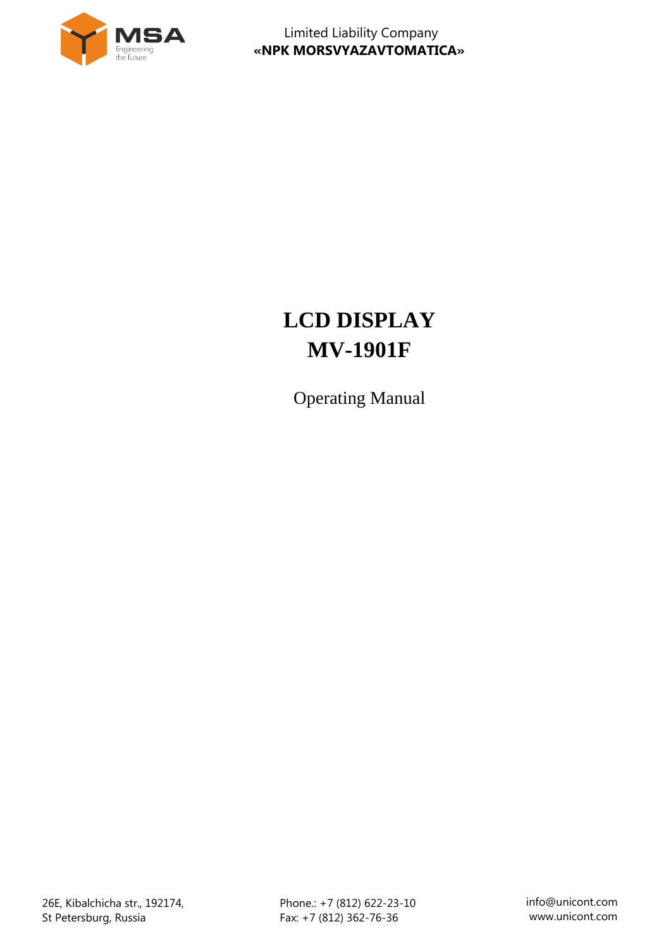

# **LCD DISPLAY MV-1901F**

Operating Manual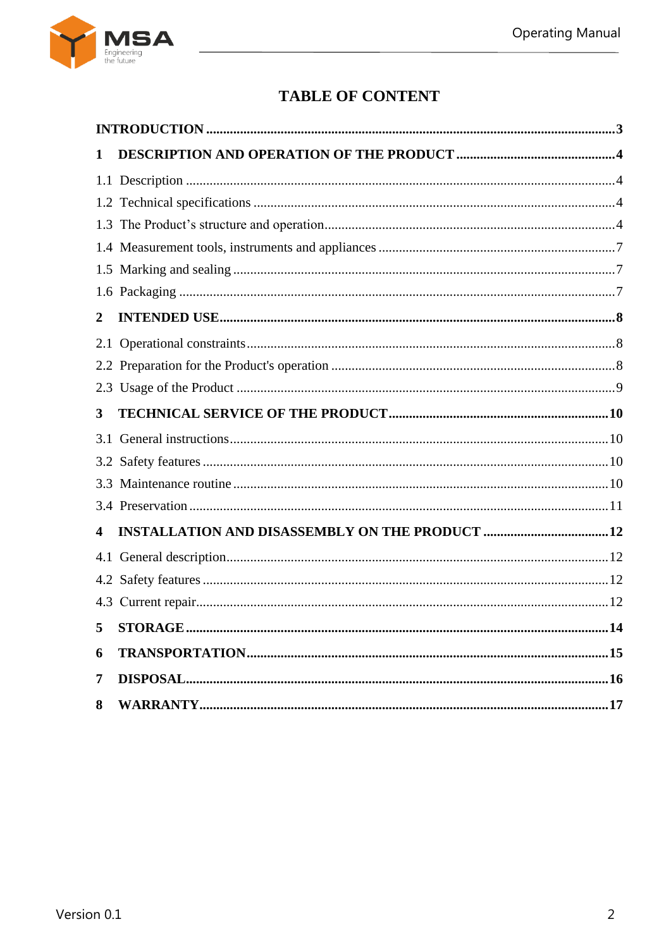

# **TABLE OF CONTENT**

| 1              |         |     |
|----------------|---------|-----|
|                |         |     |
|                |         |     |
|                |         |     |
|                |         |     |
|                |         |     |
|                |         |     |
| $\overline{2}$ |         |     |
|                |         |     |
|                |         |     |
|                |         |     |
| 3              |         |     |
| 3.1            |         |     |
|                |         |     |
|                |         |     |
|                |         |     |
| 4              |         |     |
|                |         |     |
|                |         |     |
|                |         |     |
| 5              | STORAGE | .14 |
| 6              |         |     |
| $\overline{7}$ |         |     |
| 8              |         |     |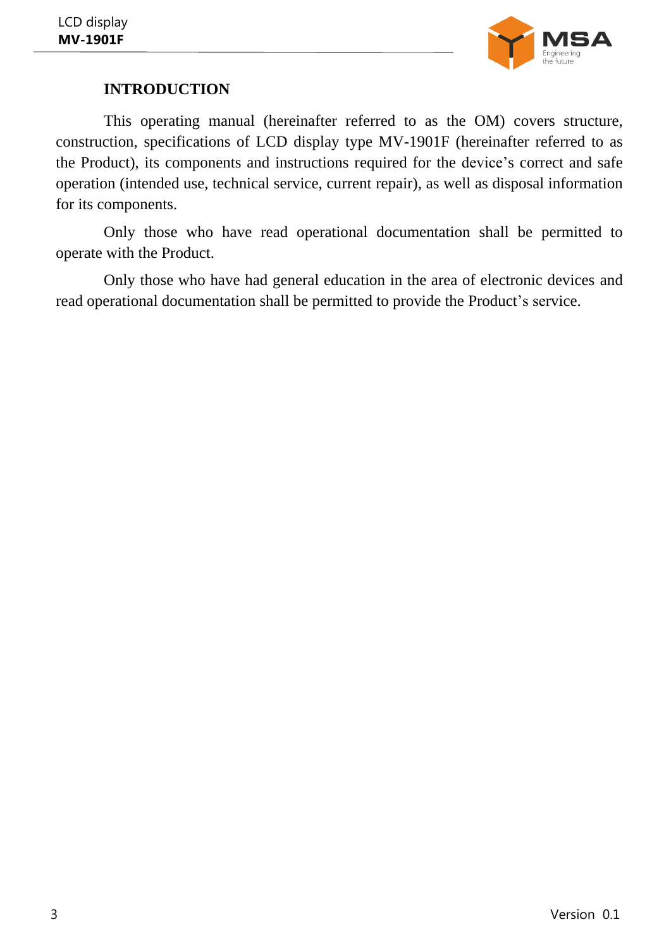

# **INTRODUCTION**

<span id="page-2-0"></span>This operating manual (hereinafter referred to as the OM) covers structure, construction, specifications of LCD display type MV-1901F (hereinafter referred to as the Product), its components and instructions required for the device's correct and safe operation (intended use, technical service, current repair), as well as disposal information for its components.

Only those who have read operational documentation shall be permitted to operate with the Product.

Only those who have had general education in the area of electronic devices and read operational documentation shall be permitted to provide the Product's service.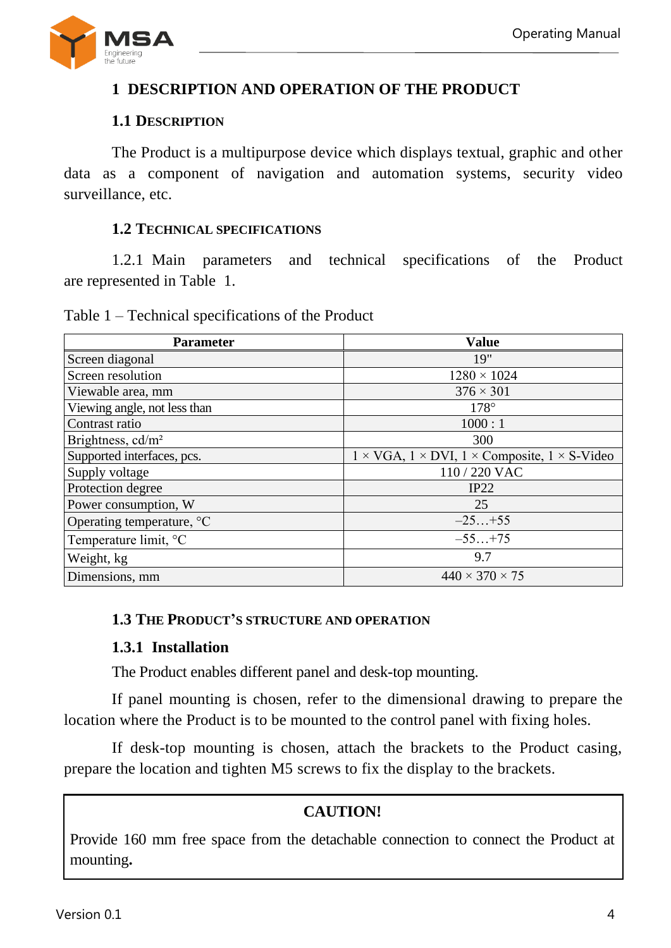

# <span id="page-3-0"></span>**1 DESCRIPTION AND OPERATION OF THE PRODUCT**

### **1.1 DESCRIPTION**

<span id="page-3-1"></span>The Product is a multipurpose device which displays textual, graphic and other data as a component of navigation and automation systems, security video surveillance, etc.

#### **1.2 TECHNICAL SPECIFICATIONS**

<span id="page-3-2"></span>1.2.1 Main parameters and technical specifications of the Product are represented in Table [1.](#page-3-4)

<span id="page-3-4"></span>Table 1 – Technical specifications of the Product

| <b>Parameter</b>              | <b>Value</b>                                                                |
|-------------------------------|-----------------------------------------------------------------------------|
| Screen diagonal               | 19"                                                                         |
| Screen resolution             | $1280 \times 1024$                                                          |
| Viewable area, mm             | $376 \times 301$                                                            |
| Viewing angle, not less than  | $178^\circ$                                                                 |
| Contrast ratio                | 1000:1                                                                      |
| Brightness, cd/m <sup>2</sup> | 300                                                                         |
| Supported interfaces, pcs.    | $1 \times VGA$ , $1 \times DVI$ , $1 \times$ Composite, $1 \times S$ -Video |
| Supply voltage                | 110 / 220 VAC                                                               |
| Protection degree             | IP22                                                                        |
| Power consumption, W          | 25                                                                          |
| Operating temperature, °C     | $-25+55$                                                                    |
| Temperature limit, °C         | $-55+75$                                                                    |
| Weight, kg                    | 9.7                                                                         |
| Dimensions, mm                | $440 \times 370 \times 75$                                                  |

#### <span id="page-3-3"></span>**1.3 THE PRODUCT'S STRUCTURE AND OPERATION**

#### **1.3.1 Installation**

The Product enables different panel and desk-top mounting.

If panel mounting is chosen, refer to the dimensional drawing to prepare the location where the Product is to be mounted to the control panel with fixing holes.

If desk-top mounting is chosen, attach the brackets to the Product casing, prepare the location and tighten M5 screws to fix the display to the brackets.

# **CAUTION!**

Provide 160 mm free space from the detachable connection to connect the Product at mounting**.**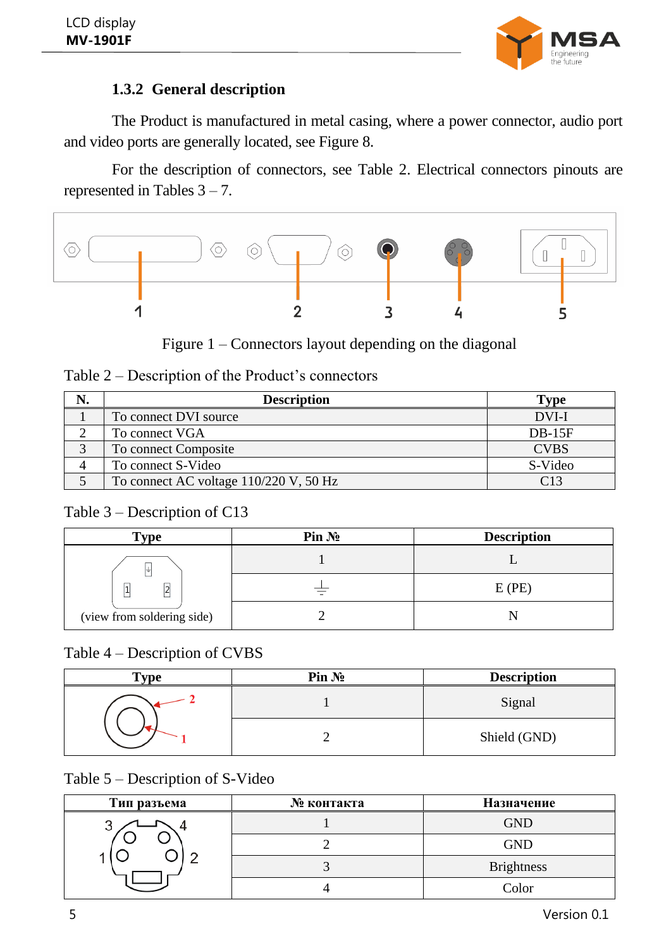

# **1.3.2 General description**

The Product is manufactured in metal casing, where a power connector, audio port and video ports are generally located, see Figure 8.

For the description of connectors, see Table [2.](#page-4-0) Electrical connectors pinouts are represented in Tables  $3 - 7$  $3 - 7$ .



Figure 1 – Connectors layout depending on the diagonal

<span id="page-4-0"></span>

| N.           | <b>Description</b>                     | <b>Type</b> |
|--------------|----------------------------------------|-------------|
|              | To connect DVI source                  | DVI-I       |
|              | To connect VGA                         | $DB-15F$    |
| $\mathbf{z}$ | To connect Composite                   | <b>CVBS</b> |
| 4            | To connect S-Video                     | S-Video     |
|              | To connect AC voltage 110/220 V, 50 Hz | C13         |

### <span id="page-4-1"></span>Table 3 – Description of C13

| $\mathbf{Type}$            | Pin N <sub>2</sub> | <b>Description</b> |
|----------------------------|--------------------|--------------------|
|                            |                    |                    |
| $\overline{2}$<br>1        |                    | E(PE)              |
| (view from soldering side) |                    |                    |

#### Table 4 – Description of CVBS

| $\mathbf{v}_{\mathbf{v}\mathbf{p}\mathbf{e}}$ | Pin No | <b>Description</b> |
|-----------------------------------------------|--------|--------------------|
|                                               |        | Signal             |
|                                               |        | Shield (GND)       |

# Table 5 – Description of S-Video

| Тип разъема | № контакта | Назначение        |
|-------------|------------|-------------------|
| J           |            | <b>GND</b>        |
|             |            | <b>GND</b>        |
|             |            | <b>Brightness</b> |
|             |            | Color             |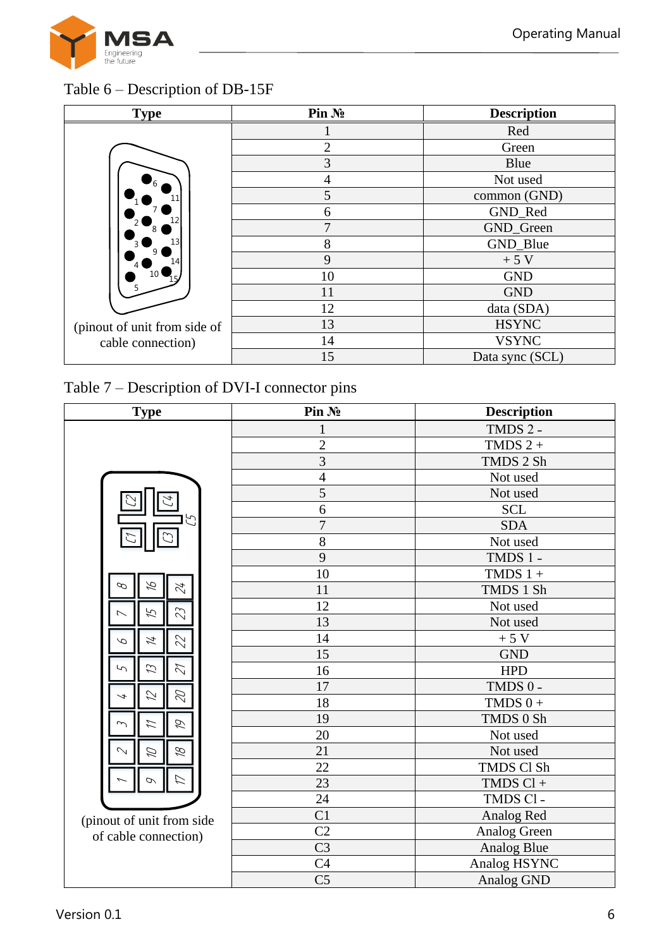

# Table 6 – Description of DB-15F

| <b>Type</b>                  | Pin No                      | <b>Description</b> |
|------------------------------|-----------------------------|--------------------|
|                              |                             | Red                |
|                              | $\mathcal{D}_{\mathcal{L}}$ | Green              |
|                              | 3                           | Blue               |
| 6                            | 4                           | Not used           |
|                              | 5                           | common (GND)       |
|                              | 6                           | GND_Red            |
|                              | ⇁                           | GND_Green          |
|                              | 8                           | GND_Blue           |
|                              | 9                           | $+5$ V             |
|                              | 10                          | <b>GND</b>         |
|                              | 11                          | <b>GND</b>         |
|                              | 12                          | data (SDA)         |
| (pinout of unit from side of | 13                          | <b>HSYNC</b>       |
| cable connection)            | 14                          |                    |
|                              | 15                          | Data sync (SCL)    |

# Table 7 – Description of DVI-I connector pins

| <b>Type</b>                         | Pin No         | <b>Description</b> |  |
|-------------------------------------|----------------|--------------------|--|
|                                     | 1              | TMDS 2 -           |  |
|                                     | $\overline{2}$ | TMDS $2 +$         |  |
|                                     | $\overline{3}$ | TMDS 2 Sh          |  |
|                                     | $\overline{4}$ | Not used           |  |
|                                     | 5              | Not used           |  |
|                                     | 6              | <b>SCL</b>         |  |
|                                     | $\overline{7}$ | <b>SDA</b>         |  |
|                                     | 8              | Not used           |  |
|                                     | 9              | TMDS 1-            |  |
|                                     | 10             | TMDS $1 +$         |  |
| Ŗ<br>42<br>$\varphi$                | 11             | TMDS 1 Sh          |  |
| 23<br>ど                             | 12             | Not used           |  |
|                                     | 13             | Not used           |  |
| 22<br>4<br>ρ                        | 14             | $+5V$              |  |
|                                     | 15             | <b>GND</b>         |  |
| $\mathcal{L}$<br>$\mathcal{Z}$<br>∽ | 16             | <b>HPD</b>         |  |
|                                     | 17             | TMDS 0-            |  |
| $\varnothing$<br>グ                  | 18             | TMDS $0 +$         |  |
| Ó<br>Z                              | 19             | TMDS 0 Sh          |  |
|                                     | 20             | Not used           |  |
| B<br>Ø<br>$\sim$                    | 21             | Not used           |  |
|                                     | 22             | TMDS Cl Sh         |  |
| $\sigma$                            | 23             | $TMDS Cl +$        |  |
|                                     | 24             | TMDS Cl-           |  |
| (pinout of unit from side           | C <sub>1</sub> | Analog Red         |  |
| of cable connection)                | C <sub>2</sub> | Analog Green       |  |
|                                     | C <sub>3</sub> | Analog Blue        |  |
|                                     | C <sub>4</sub> | Analog HSYNC       |  |
|                                     | C <sub>5</sub> | Analog GND         |  |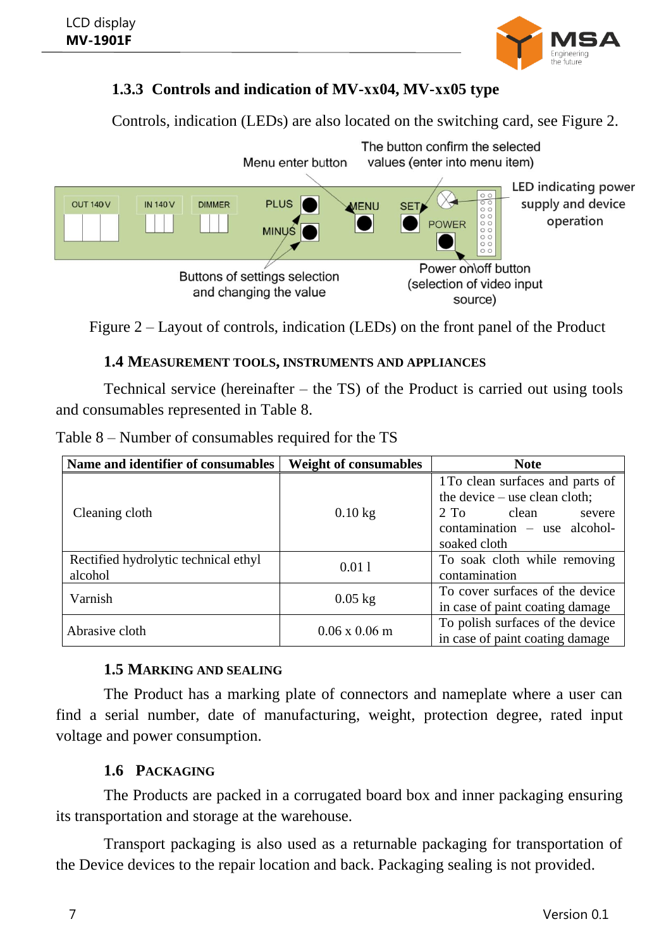

# **1.3.3 Controls and indication of MV-хх04, MV-хх05 type**

Controls, indication (LEDs) are also located on the switching card, see Figure [2.](#page-6-3)



<span id="page-6-3"></span>Figure 2 – Layout of controls, indication (LEDs) on the front panel of the Product

### **1.4 MEASUREMENT TOOLS, INSTRUMENTS AND APPLIANCES**

<span id="page-6-0"></span>Technical service (hereinafter – the TS) of the Product is carried out using tools and consumables represented in Table [8.](#page-6-4)

| Name and identifier of consumables              | <b>Weight of consumables</b> | <b>Note</b>                                                                                                                                                   |  |
|-------------------------------------------------|------------------------------|---------------------------------------------------------------------------------------------------------------------------------------------------------------|--|
| Cleaning cloth                                  | $0.10$ kg                    | 1 To clean surfaces and parts of<br>the device $-$ use clean cloth;<br>2. T <sub>0</sub><br>clean<br>severe<br>$contamination$ – use alcohol-<br>soaked cloth |  |
| Rectified hydrolytic technical ethyl<br>alcohol | 0.011                        | To soak cloth while removing<br>contamination                                                                                                                 |  |
| Varnish                                         | $0.05$ kg                    | To cover surfaces of the device<br>in case of paint coating damage                                                                                            |  |
| Abrasive cloth                                  | $0.06 \times 0.06$ m         | To polish surfaces of the device<br>in case of paint coating damage                                                                                           |  |

<span id="page-6-4"></span>Table 8 – Number of consumables required for the TS

# **1.5 MARKING AND SEALING**

<span id="page-6-1"></span>The Product has a marking plate of connectors and nameplate where a user can find a serial number, date of manufacturing, weight, protection degree, rated input voltage and power consumption.

# **1.6 PACKAGING**

<span id="page-6-2"></span>The Products are packed in a corrugated board box and inner packaging ensuring its transportation and storage at the warehouse.

Transport packaging is also used as a returnable packaging for transportation of the Device devices to the repair location and back. Packaging sealing is not provided.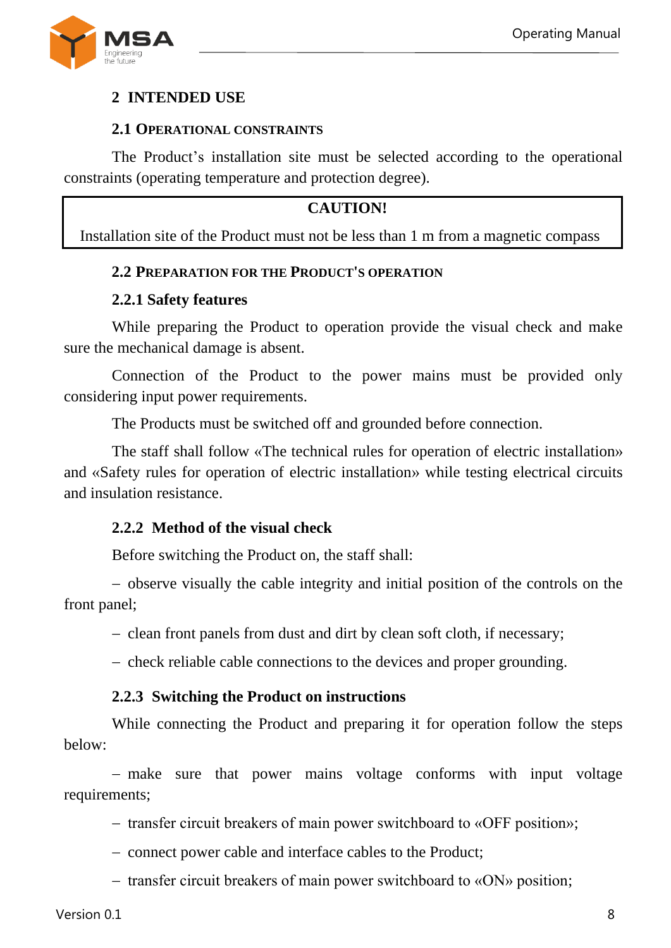

### <span id="page-7-0"></span>**2 INTENDED USE**

#### **2.1 OPERATIONAL CONSTRAINTS**

<span id="page-7-1"></span>The Product's installation site must be selected according to the operational constraints (operating temperature and protection degree).

#### **CAUTION!**

<span id="page-7-2"></span>Installation site of the Product must not be less than 1 m from a magnetic compass

#### **2.2 PREPARATION FOR THE PRODUCT'S OPERATION**

#### **2.2.1 Safety features**

While preparing the Product to operation provide the visual check and make sure the mechanical damage is absent.

Connection of the Product to the power mains must be provided only considering input power requirements.

The Products must be switched off and grounded before connection.

The staff shall follow «The technical rules for operation of electric installation» and «Safety rules for operation of electric installation» while testing electrical circuits and insulation resistance.

#### **2.2.2 Method of the visual check**

Before switching the Product on, the staff shall:

 observe visually the cable integrity and initial position of the controls on the front panel;

- clean front panels from dust and dirt by clean soft cloth, if necessary;

- check reliable cable connections to the devices and proper grounding.

#### **2.2.3 Switching the Product on instructions**

While connecting the Product and preparing it for operation follow the steps below:

- make sure that power mains voltage conforms with input voltage requirements;

- transfer circuit breakers of main power switchboard to «OFF position»;
- connect power cable and interface cables to the Product;
- $\sim$  transfer circuit breakers of main power switchboard to «ON» position;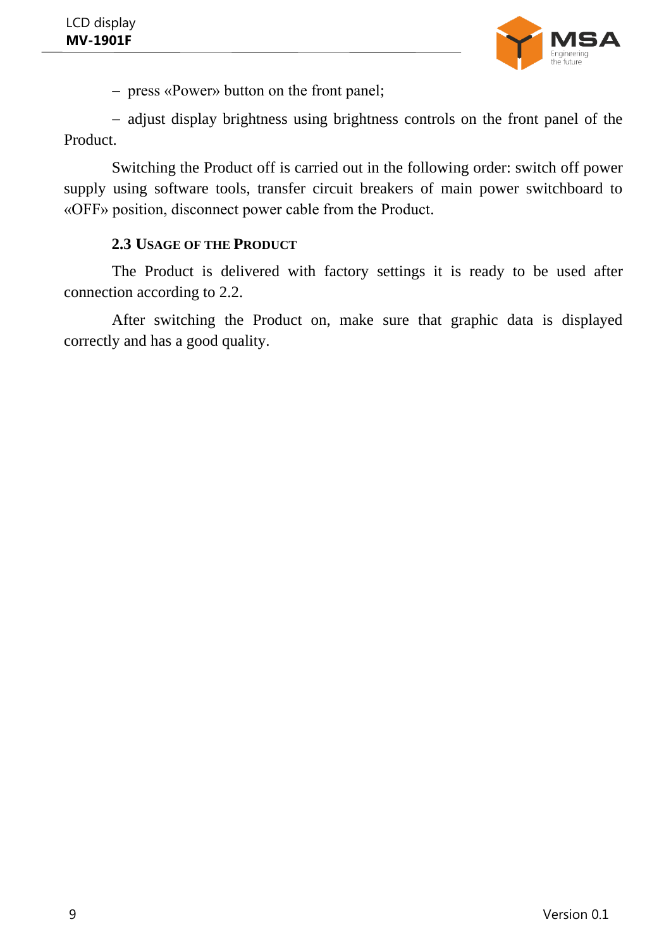

press «Power» button on the front panel;

- adjust display brightness using brightness controls on the front panel of the Product.

Switching the Product off is carried out in the following order: switch off power supply using software tools, transfer circuit breakers of main power switchboard to «OFF» position, disconnect power cable from the Product.

#### **2.3 USAGE OF THE PRODUCT**

<span id="page-8-0"></span>The Product is delivered with factory settings it is ready to be used after connection according to 2.2.

After switching the Product on, make sure that graphic data is displayed correctly and has a good quality.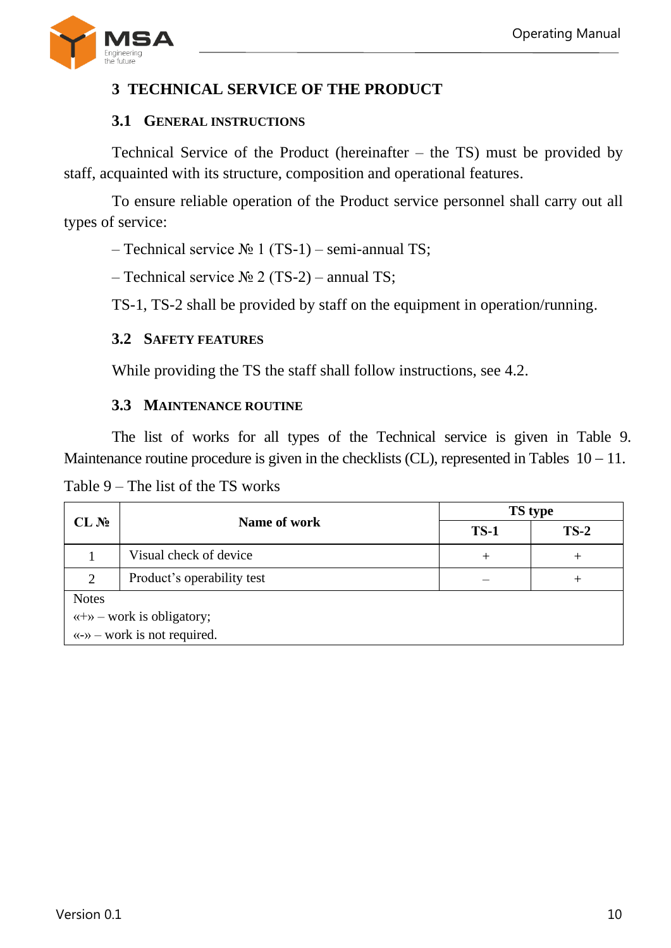

# <span id="page-9-0"></span>**3 TECHNICAL SERVICE OF THE PRODUCT**

#### **3.1 GENERAL INSTRUCTIONS**

<span id="page-9-1"></span>Technical Service of the Product (hereinafter – the TS) must be provided by staff, acquainted with its structure, composition and operational features.

To ensure reliable operation of the Product service personnel shall carry out all types of service:

– Technical service № 1 (ТS-1) – semi-annual TS;

– Technical service  $N_2$  (TS-2) – annual TS;

TS-1, TS-2 shall be provided by staff on the equipment in operation/running.

#### <span id="page-9-2"></span>**3.2 SAFETY FEATURES**

While providing the TS the staff shall follow instructions, see 4.2.

#### **3.3 MAINTENANCE ROUTINE**

<span id="page-9-3"></span>The list of works for all types of the Technical service is given in Table [9.](#page-9-4) Maintenance routine procedure is given in the checklists (CL), represented in Tables  $10 - 11$ .

<span id="page-9-4"></span>Table 9 – The list of the TS works

|                                                            | Name of work               | <b>TS</b> type |        |
|------------------------------------------------------------|----------------------------|----------------|--------|
| CL N <sub>2</sub>                                          |                            | $TS-1$         | $TS-2$ |
|                                                            | Visual check of device     | $^+$           | +      |
|                                                            | Product's operability test |                |        |
| <b>Notes</b>                                               |                            |                |        |
| $\langle \langle + \rangle \rangle$ – work is obligatory;  |                            |                |        |
| $\langle \langle -\rangle \rangle$ – work is not required. |                            |                |        |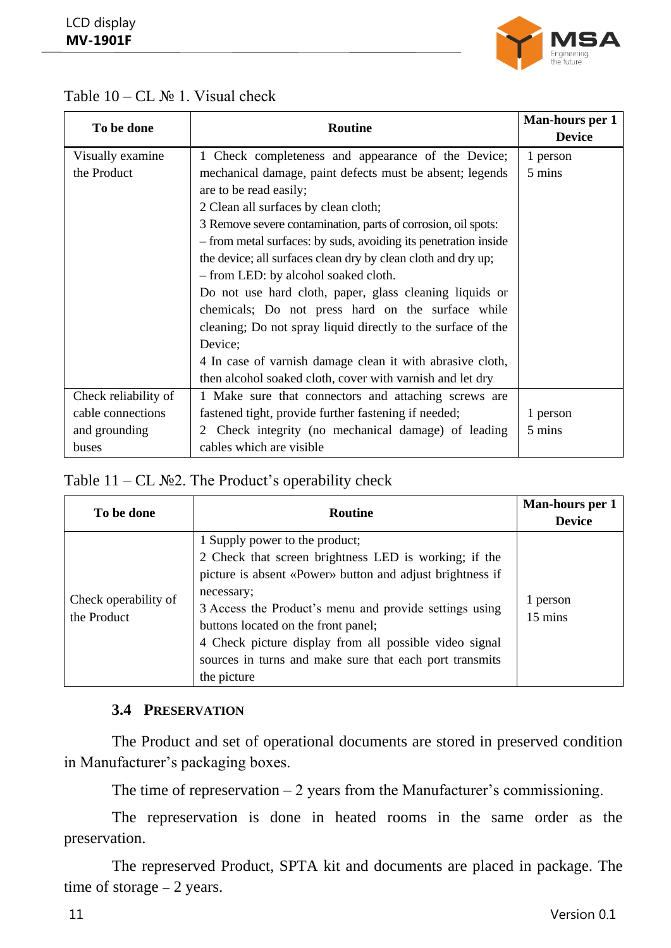

#### Table  $10 - CL$  No 1. Visual check

| To be done           | <b>Routine</b>                                                  | Man-hours per 1 |
|----------------------|-----------------------------------------------------------------|-----------------|
|                      |                                                                 | <b>Device</b>   |
| Visually examine     | 1 Check completeness and appearance of the Device;              | 1 person        |
| the Product          | mechanical damage, paint defects must be absent; legends        | 5 mins          |
|                      | are to be read easily;                                          |                 |
|                      | 2 Clean all surfaces by clean cloth;                            |                 |
|                      | 3 Remove severe contamination, parts of corrosion, oil spots:   |                 |
|                      | - from metal surfaces: by suds, avoiding its penetration inside |                 |
|                      | the device; all surfaces clean dry by clean cloth and dry up;   |                 |
|                      | - from LED: by alcohol soaked cloth.                            |                 |
|                      | Do not use hard cloth, paper, glass cleaning liquids or         |                 |
|                      | chemicals; Do not press hard on the surface while               |                 |
|                      | cleaning; Do not spray liquid directly to the surface of the    |                 |
|                      | Device;                                                         |                 |
|                      | 4 In case of varnish damage clean it with abrasive cloth,       |                 |
|                      | then alcohol soaked cloth, cover with varnish and let dry       |                 |
| Check reliability of | 1 Make sure that connectors and attaching screws are            |                 |
| cable connections    | fastened tight, provide further fastening if needed;            | 1 person        |
| and grounding        | Check integrity (no mechanical damage) of leading<br>2          | 5 mins          |
| buses                | cables which are visible                                        |                 |

#### <span id="page-10-1"></span>Table  $11 - CL$  №2. The Product's operability check

| To be done                          | <b>Routine</b>                                                                                                                                                                                                                                                                                                                                                                                          | Man-hours per 1<br><b>Device</b> |
|-------------------------------------|---------------------------------------------------------------------------------------------------------------------------------------------------------------------------------------------------------------------------------------------------------------------------------------------------------------------------------------------------------------------------------------------------------|----------------------------------|
| Check operability of<br>the Product | 1 Supply power to the product;<br>2 Check that screen brightness LED is working; if the<br>picture is absent «Power» button and adjust brightness if<br>necessary;<br>3 Access the Product's menu and provide settings using<br>buttons located on the front panel;<br>4 Check picture display from all possible video signal<br>sources in turns and make sure that each port transmits<br>the picture | 1 person<br>15 mins              |

#### **3.4 PRESERVATION**

<span id="page-10-0"></span>The Product and set of operational documents are stored in preserved condition in Manufacturer's packaging boxes.

The time of represervation  $-2$  years from the Manufacturer's commissioning.

The represervation is done in heated rooms in the same order as the preservation.

The represerved Product, SPTA kit and documents are placed in package. The time of storage  $-2$  years.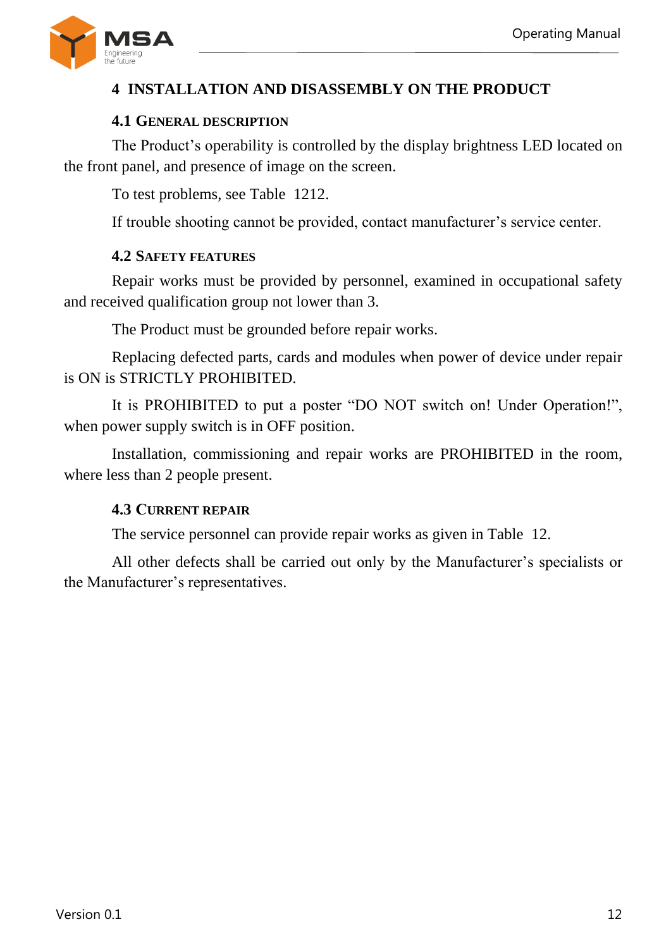

# <span id="page-11-0"></span>**4 INSTALLATION AND DISASSEMBLY ON THE PRODUCT**

### **4.1 GENERAL DESCRIPTION**

<span id="page-11-1"></span>The Product's operability is controlled by the display brightness LED located on the front panel, and presence of image on the screen.

To test problems, see Table [1212.](#page-11-4)

If trouble shooting cannot be provided, contact manufacturer's service center.

#### **4.2 SAFETY FEATURES**

<span id="page-11-2"></span>Repair works must be provided by personnel, examined in occupational safety and received qualification group not lower than 3.

The Product must be grounded before repair works.

Replacing defected parts, cards and modules when power of device under repair is ON is STRICTLY PROHIBITED.

It is PROHIBITED to put a poster "DO NOT switch on! Under Operation!", when power supply switch is in OFF position.

<span id="page-11-3"></span>Installation, commissioning and repair works are PROHIBITED in the room, where less than 2 people present.

#### **4.3 СURRENT REPAIR**

The service personnel can provide repair works as given in Table [12.](#page-11-4)

<span id="page-11-4"></span>All other defects shall be carried out only by the Manufacturer's specialists or the Manufacturer's representatives.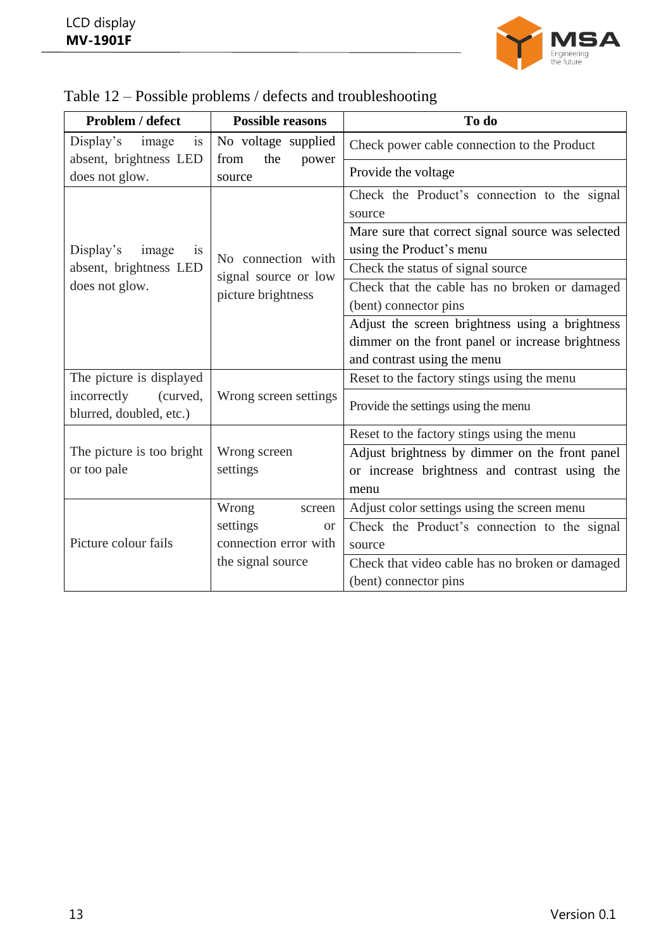

| Problem / defect                                                            | <b>Possible reasons</b>                    | To do                                                                                                   |  |  |
|-----------------------------------------------------------------------------|--------------------------------------------|---------------------------------------------------------------------------------------------------------|--|--|
| Display's<br>image<br>is                                                    | No voltage supplied                        | Check power cable connection to the Product                                                             |  |  |
| absent, brightness LED<br>does not glow.                                    | from<br>the<br>power<br>source             | Provide the voltage                                                                                     |  |  |
| Display's<br>image<br><b>1S</b><br>absent, brightness LED<br>does not glow. |                                            | Check the Product's connection to the signal<br>source                                                  |  |  |
|                                                                             |                                            | Mare sure that correct signal source was selected<br>using the Product's menu                           |  |  |
|                                                                             | No connection with                         | Check the status of signal source                                                                       |  |  |
|                                                                             | signal source or low<br>picture brightness | Check that the cable has no broken or damaged<br>(bent) connector pins                                  |  |  |
|                                                                             |                                            | Adjust the screen brightness using a brightness                                                         |  |  |
|                                                                             |                                            | dimmer on the front panel or increase brightness                                                        |  |  |
|                                                                             |                                            | and contrast using the menu                                                                             |  |  |
| The picture is displayed                                                    |                                            | Reset to the factory stings using the menu                                                              |  |  |
| incorrectly<br>(curved,<br>blurred, doubled, etc.)                          | Wrong screen settings                      | Provide the settings using the menu                                                                     |  |  |
|                                                                             |                                            | Reset to the factory stings using the menu                                                              |  |  |
| The picture is too bright<br>or too pale                                    | Wrong screen<br>settings                   | Adjust brightness by dimmer on the front panel<br>or increase brightness and contrast using the<br>menu |  |  |
|                                                                             | Wrong<br>screen                            | Adjust color settings using the screen menu                                                             |  |  |
|                                                                             | settings<br><b>or</b>                      | Check the Product's connection to the signal                                                            |  |  |
| Picture colour fails                                                        | connection error with                      | source                                                                                                  |  |  |
|                                                                             | the signal source                          | Check that video cable has no broken or damaged                                                         |  |  |
|                                                                             |                                            | (bent) connector pins                                                                                   |  |  |

| Table 12 – Possible problems / defects and troubleshooting |  |  |
|------------------------------------------------------------|--|--|
|                                                            |  |  |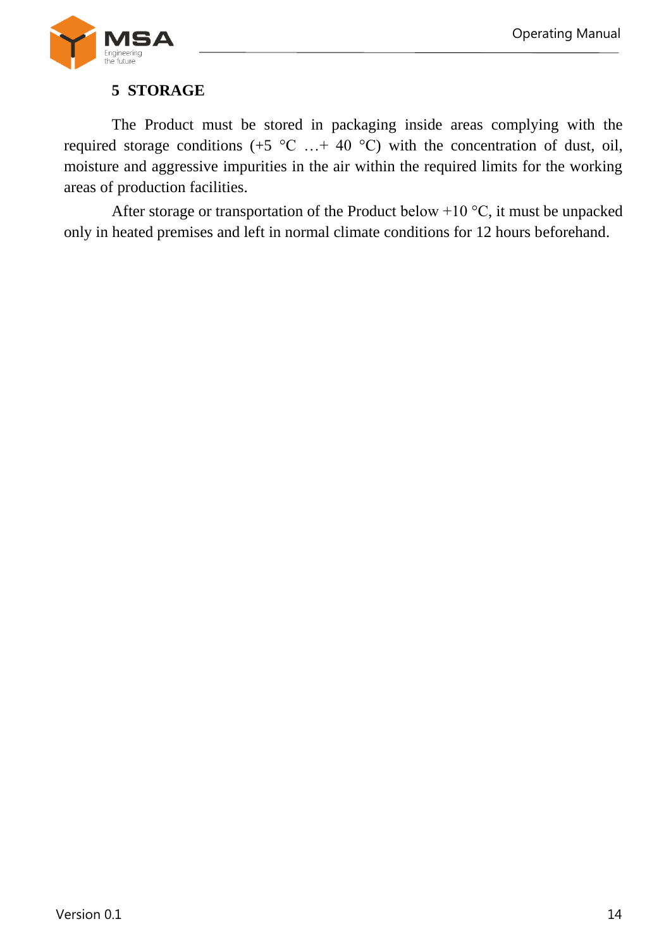

# **5 STORAGE**

<span id="page-13-0"></span>The Product must be stored in packaging inside areas complying with the required storage conditions (+5  $^{\circ}$ C ... + 40  $^{\circ}$ C) with the concentration of dust, oil, moisture and aggressive impurities in the air within the required limits for the working areas of production facilities.

After storage or transportation of the Product below +10 °С, it must be unpacked only in heated premises and left in normal climate conditions for 12 hours beforehand.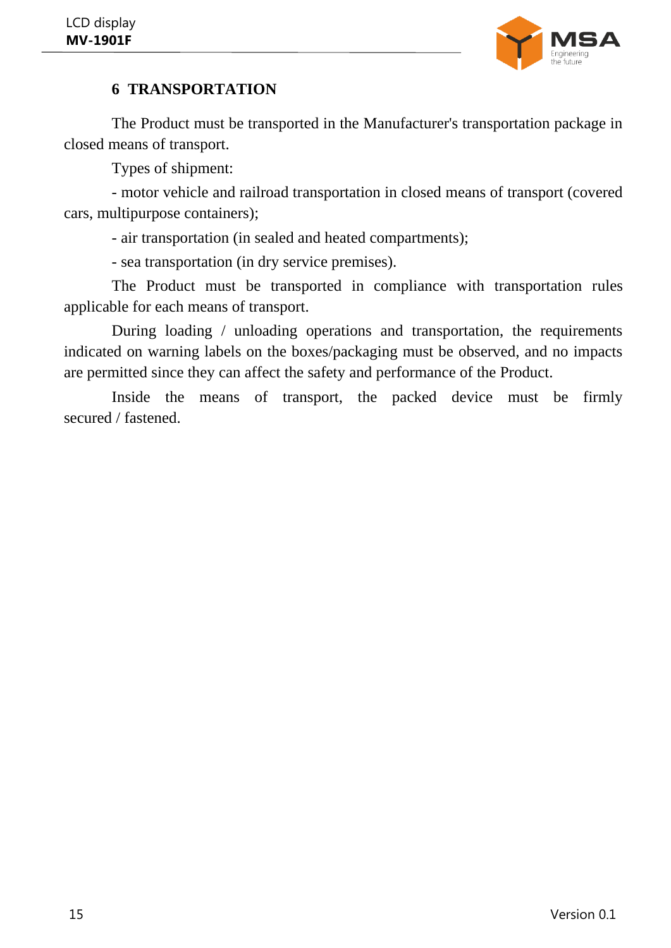

# **6 TRANSPORTATION**

<span id="page-14-0"></span>The Product must be transported in the Manufacturer's transportation package in closed means of transport.

Types of shipment:

- motor vehicle and railroad transportation in closed means of transport (covered cars, multipurpose containers);

- air transportation (in sealed and heated compartments);

- sea transportation (in dry service premises).

The Product must be transported in compliance with transportation rules applicable for each means of transport.

During loading / unloading operations and transportation, the requirements indicated on warning labels on the boxes/packaging must be observed, and no impacts are permitted since they can affect the safety and performance of the Product.

Inside the means of transport, the packed device must be firmly secured / fastened.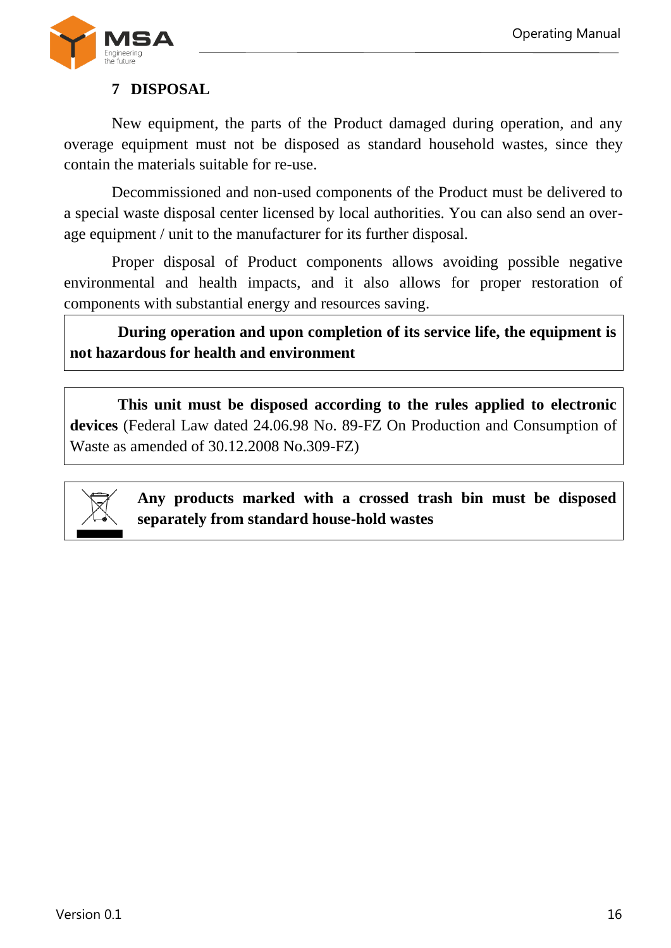

# <span id="page-15-0"></span>**7 DISPOSAL**

New equipment, the parts of the Product damaged during operation, and any overage equipment must not be disposed as standard household wastes, since they contain the materials suitable for re-use.

Decommissioned and non-used components of the Product must be delivered to a special waste disposal center licensed by local authorities. You can also send an overage equipment / unit to the manufacturer for its further disposal.

Proper disposal of Product components allows avoiding possible negative environmental and health impacts, and it also allows for proper restoration of components with substantial energy and resources saving.

**During operation and upon completion of its service life, the equipment is not hazardous for health and environment**

**This unit must be disposed according to the rules applied to electronic devices** (Federal Law dated 24.06.98 No. 89-FZ On Production and Consumption of Waste as amended of 30.12.2008 No.309-FZ)



**Any products marked with a crossed trash bin must be disposed separately from standard house-hold wastes**